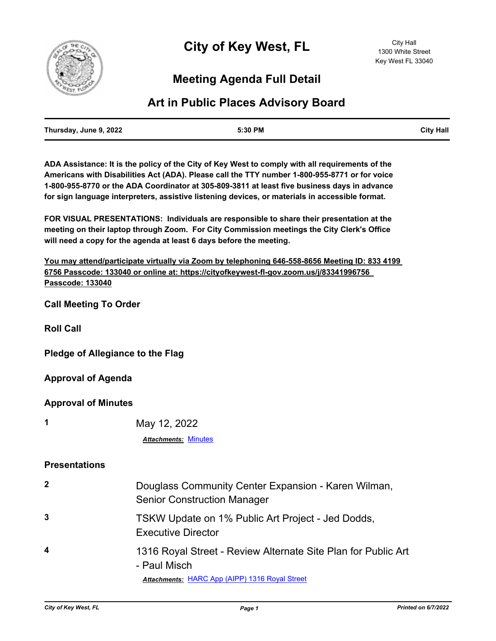

# **Meeting Agenda Full Detail**

## **Art in Public Places Advisory Board**

| Thursday, June 9, 2022 | 5:30 PM | <b>City Hall</b> |
|------------------------|---------|------------------|
|                        |         |                  |

**ADA Assistance: It is the policy of the City of Key West to comply with all requirements of the Americans with Disabilities Act (ADA). Please call the TTY number 1-800-955-8771 or for voice 1-800-955-8770 or the ADA Coordinator at 305-809-3811 at least five business days in advance for sign language interpreters, assistive listening devices, or materials in accessible format.**

**FOR VISUAL PRESENTATIONS: Individuals are responsible to share their presentation at the meeting on their laptop through Zoom. For City Commission meetings the City Clerk's Office will need a copy for the agenda at least 6 days before the meeting.**

| You may attend/participate virtually via Zoom by telephoning 646-558-8656 Meeting ID: 833 4199 |
|------------------------------------------------------------------------------------------------|
| 6756 Passcode: 133040 or online at: https://cityofkeywest-fl-gov.zoom.us/j/83341996756         |
| Passcode: 133040                                                                               |

**Call Meeting To Order**

**Roll Call**

**Pledge of Allegiance to the Flag**

**Approval of Agenda**

**Approval of Minutes**

**1** May 12, 2022

*Attachments:* [Minutes](http://KeyWest.legistar.com/gateway.aspx?M=F&ID=290bbcdb-6dc7-427b-bee7-bf733f89de0c.pdf)

#### **Presentations**

| $\overline{2}$   | Douglass Community Center Expansion - Karen Wilman,<br><b>Senior Construction Manager</b> |
|------------------|-------------------------------------------------------------------------------------------|
| 3                | TSKW Update on 1% Public Art Project - Jed Dodds,<br><b>Executive Director</b>            |
| $\boldsymbol{4}$ | 1316 Royal Street - Review Alternate Site Plan for Public Art<br>- Paul Misch             |
|                  | Attachments: HARC App (AIPP) 1316 Royal Street                                            |